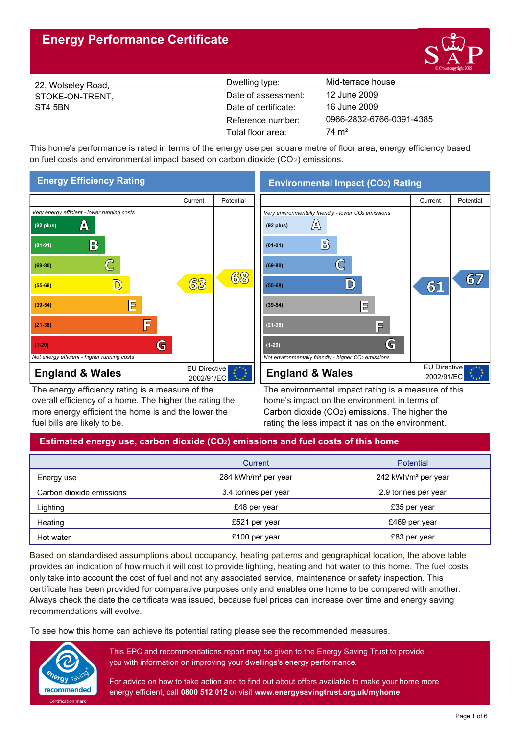# **Energy Performance Certificate**



22, Wolseley Road, STOKE-ON-TRENT, ST4 5BN

Reference number: Date of certificate: Total floor area: 74 m<sup>2</sup> Date of assessment:

Dwelling type: Mid-terrace house 0966-2832-6766-0391-4385 16 June 2009 12 June 2009

This home's performance is rated in terms of the energy use per square metre of floor area, energy efficiency based on fuel costs and environmental impact based on carbon dioxide (CO2) emissions.



The energy efficiency rating is a measure of the overall efficiency of a home. The higher the rating the more energy efficient the home is and the lower the fuel bills are likely to be.

The environmental impact rating is a measure of this home's impact on the environment in terms of Carbon dioxide (CO2) emissions. The higher the rating the less impact it has on the environment.

# **Estimated energy use, carbon dioxide (CO2) emissions and fuel costs of this home**

|                          | Current                         | <b>Potential</b>                |  |  |
|--------------------------|---------------------------------|---------------------------------|--|--|
| Energy use               | 284 kWh/m <sup>2</sup> per year | 242 kWh/m <sup>2</sup> per year |  |  |
| Carbon dioxide emissions | 3.4 tonnes per year             | 2.9 tonnes per year             |  |  |
| Lighting                 | £48 per year                    | £35 per year                    |  |  |
| Heating                  | £521 per year                   | £469 per year                   |  |  |
| Hot water                | £100 per year                   | £83 per year                    |  |  |

Based on standardised assumptions about occupancy, heating patterns and geographical location, the above table provides an indication of how much it will cost to provide lighting, heating and hot water to this home. The fuel costs only take into account the cost of fuel and not any associated service, maintenance or safety inspection. This certificate has been provided for comparative purposes only and enables one home to be compared with another. Always check the date the certificate was issued, because fuel prices can increase over time and energy saving recommendations will evolve.

To see how this home can achieve its potential rating please see the recommended measures.



This EPC and recommendations report may be given to the Energy Saving Trust to provide you with information on improving your dwellings's energy performance.

For advice on how to take action and to find out about offers available to make your home more energy efficient, call **0800 512 012** or visit **www.energysavingtrust.org.uk/myhome**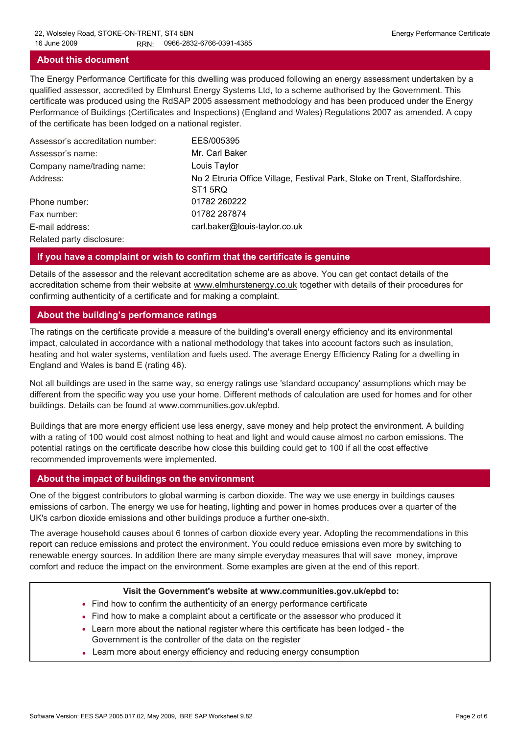#### **About this document**

The Energy Performance Certificate for this dwelling was produced following an energy assessment undertaken by a qualified assessor, accredited by Elmhurst Energy Systems Ltd, to a scheme authorised by the Government. This certificate was produced using the RdSAP 2005 assessment methodology and has been produced under the Energy Performance of Buildings (Certificates and Inspections) (England and Wales) Regulations 2007 as amended. A copy of the certificate has been lodged on a national register.

| Assessor's accreditation number: | EES/005395                                                                                        |
|----------------------------------|---------------------------------------------------------------------------------------------------|
| Assessor's name:                 | Mr. Carl Baker                                                                                    |
| Company name/trading name:       | Louis Taylor                                                                                      |
| Address:                         | No 2 Etruria Office Village, Festival Park, Stoke on Trent, Staffordshire,<br>ST <sub>1</sub> 5RQ |
| Phone number:                    | 01782 260222                                                                                      |
| Fax number:                      | 01782 287874                                                                                      |
| E-mail address:                  | carl.baker@louis-taylor.co.uk                                                                     |
| Related party disclosure:        |                                                                                                   |

#### **If you have a complaint or wish to confirm that the certificate is genuine**

Details of the assessor and the relevant accreditation scheme are as above. You can get contact details of the accreditation scheme from their website at www.elmhurstenergy.co.uk together with details of their procedures for confirming authenticity of a certificate and for making a complaint.

#### **About the building's performance ratings**

The ratings on the certificate provide a measure of the building's overall energy efficiency and its environmental impact, calculated in accordance with a national methodology that takes into account factors such as insulation, heating and hot water systems, ventilation and fuels used. The average Energy Efficiency Rating for a dwelling in England and Wales is band E (rating 46).

Not all buildings are used in the same way, so energy ratings use 'standard occupancy' assumptions which may be different from the specific way you use your home. Different methods of calculation are used for homes and for other buildings. Details can be found at www.communities.gov.uk/epbd.

Buildings that are more energy efficient use less energy, save money and help protect the environment. A building with a rating of 100 would cost almost nothing to heat and light and would cause almost no carbon emissions. The potential ratings on the certificate describe how close this building could get to 100 if all the cost effective recommended improvements were implemented.

#### **About the impact of buildings on the environment**

One of the biggest contributors to global warming is carbon dioxide. The way we use energy in buildings causes emissions of carbon. The energy we use for heating, lighting and power in homes produces over a quarter of the UK's carbon dioxide emissions and other buildings produce a further one-sixth.

The average household causes about 6 tonnes of carbon dioxide every year. Adopting the recommendations in this report can reduce emissions and protect the environment. You could reduce emissions even more by switching to renewable energy sources. In addition there are many simple everyday measures that will save money, improve comfort and reduce the impact on the environment. Some examples are given at the end of this report.

#### **Visit the Government's website at www.communities.gov.uk/epbd to:**

- Find how to confirm the authenticity of an energy performance certificate
- Find how to make a complaint about a certificate or the assessor who produced it •
- Learn more about the national register where this certificate has been lodged the Government is the controller of the data on the register
- Learn more about energy efficiency and reducing energy consumption •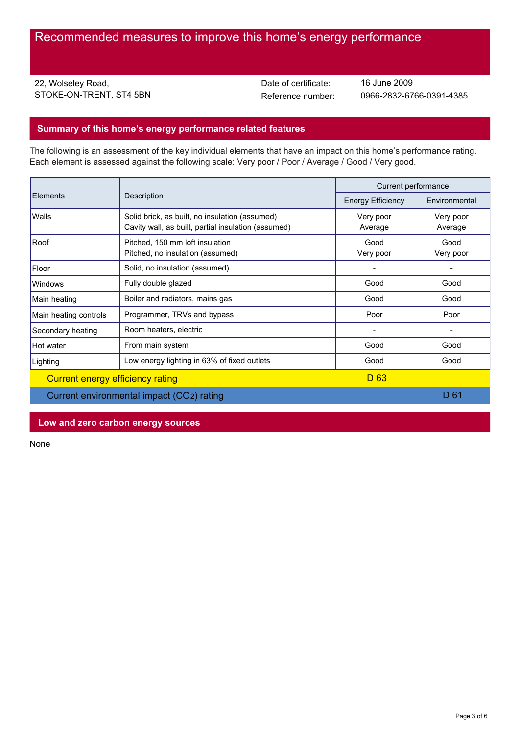22, Wolseley Road, STOKE-ON-TRENT, ST4 5BN Date of certificate:

Reference number: 0966-2832-6766-0391-4385 16 June 2009

# **Summary of this home's energy performance related features**

The following is an assessment of the key individual elements that have an impact on this home's performance rating. Each element is assessed against the following scale: Very poor / Poor / Average / Good / Very good.

| Elements                         | Description                                                                                           | Current performance      |                      |
|----------------------------------|-------------------------------------------------------------------------------------------------------|--------------------------|----------------------|
|                                  |                                                                                                       | <b>Energy Efficiency</b> | Environmental        |
| Walls                            | Solid brick, as built, no insulation (assumed)<br>Cavity wall, as built, partial insulation (assumed) | Very poor<br>Average     | Very poor<br>Average |
| Roof                             | Pitched, 150 mm loft insulation<br>Pitched, no insulation (assumed)                                   | Good<br>Very poor        | Good<br>Very poor    |
| Floor                            | Solid, no insulation (assumed)                                                                        |                          |                      |
| <b>Windows</b>                   | Fully double glazed                                                                                   | Good                     | Good                 |
| Main heating                     | Boiler and radiators, mains gas                                                                       | Good                     | Good                 |
| Main heating controls            | Programmer, TRVs and bypass                                                                           | Poor                     | Poor                 |
| Secondary heating                | Room heaters, electric                                                                                |                          |                      |
| Hot water                        | From main system                                                                                      | Good                     | Good                 |
| Lighting                         | Low energy lighting in 63% of fixed outlets                                                           | Good                     | Good                 |
| Current energy efficiency rating |                                                                                                       | D <sub>63</sub>          |                      |
|                                  | Current environmental impact (CO2) rating                                                             |                          | D 61                 |

**Low and zero carbon energy sources**

None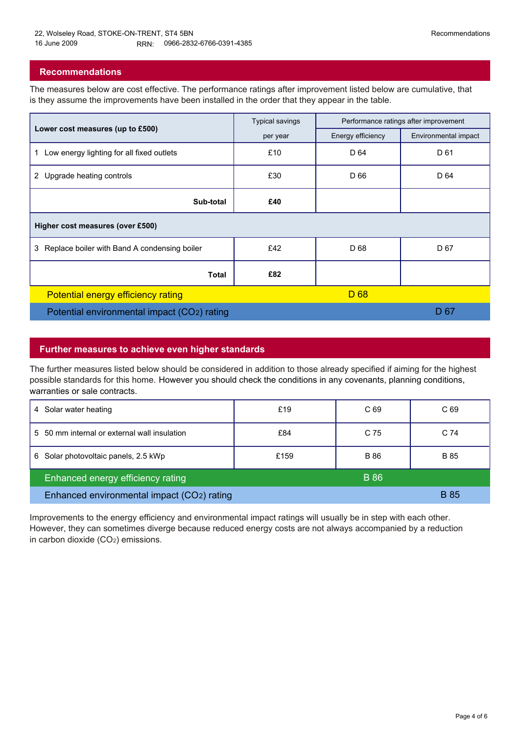# **Recommendations**

The measures below are cost effective. The performance ratings after improvement listed below are cumulative, that is they assume the improvements have been installed in the order that they appear in the table.

|                                                   | <b>Typical savings</b> | Performance ratings after improvement |                      |  |  |  |
|---------------------------------------------------|------------------------|---------------------------------------|----------------------|--|--|--|
| Lower cost measures (up to £500)                  | per year               | Energy efficiency                     | Environmental impact |  |  |  |
| Low energy lighting for all fixed outlets<br>1.   | £10                    | D 64                                  | D 61                 |  |  |  |
| 2 Upgrade heating controls                        | £30                    | D 66                                  | D 64                 |  |  |  |
| Sub-total                                         | £40                    |                                       |                      |  |  |  |
| Higher cost measures (over £500)                  |                        |                                       |                      |  |  |  |
| Replace boiler with Band A condensing boiler<br>3 | £42                    | D 68                                  | D 67                 |  |  |  |
| Total                                             | £82                    |                                       |                      |  |  |  |
| Potential energy efficiency rating                |                        | D <sub>68</sub>                       |                      |  |  |  |
| Potential environmental impact (CO2) rating       |                        |                                       | D 67                 |  |  |  |

# **Further measures to achieve even higher standards**

The further measures listed below should be considered in addition to those already specified if aiming for the highest possible standards for this home. However you should check the conditions in any covenants, planning conditions, warranties or sale contracts.

| Solar water heating<br>4                         | £19  | C 69        | C 69            |
|--------------------------------------------------|------|-------------|-----------------|
| 5 50 mm internal or external wall insulation     | £84  | C 75        | C <sub>74</sub> |
| Solar photovoltaic panels, 2.5 kWp<br>6          | £159 | <b>B</b> 86 | <b>B</b> 85     |
| <b>B</b> 86<br>Enhanced energy efficiency rating |      |             |                 |
| Enhanced environmental impact (CO2) rating       |      |             | <b>B</b> 85     |

Improvements to the energy efficiency and environmental impact ratings will usually be in step with each other. However, they can sometimes diverge because reduced energy costs are not always accompanied by a reduction in carbon dioxide (CO2) emissions.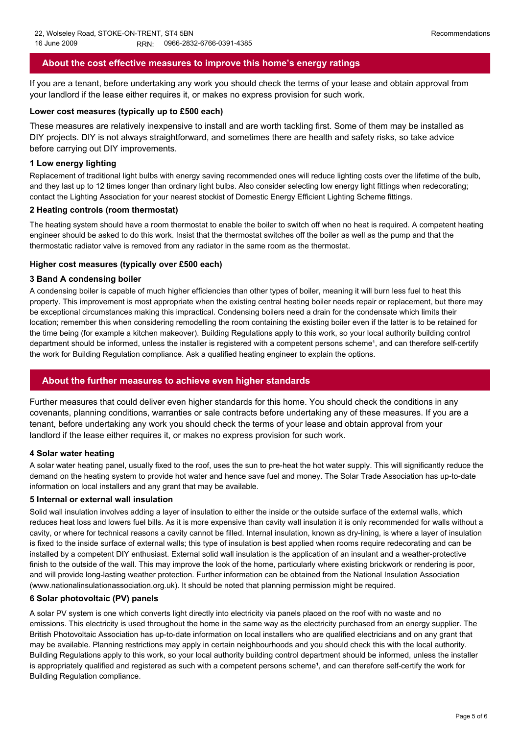If you are a tenant, before undertaking any work you should check the terms of your lease and obtain approval from your landlord if the lease either requires it, or makes no express provision for such work.

#### **Lower cost measures (typically up to £500 each)**

These measures are relatively inexpensive to install and are worth tackling first. Some of them may be installed as DIY projects. DIY is not always straightforward, and sometimes there are health and safety risks, so take advice before carrying out DIY improvements.

#### **1 Low energy lighting**

Replacement of traditional light bulbs with energy saving recommended ones will reduce lighting costs over the lifetime of the bulb, and they last up to 12 times longer than ordinary light bulbs. Also consider selecting low energy light fittings when redecorating; contact the Lighting Association for your nearest stockist of Domestic Energy Efficient Lighting Scheme fittings.

#### **2 Heating controls (room thermostat)**

The heating system should have a room thermostat to enable the boiler to switch off when no heat is required. A competent heating engineer should be asked to do this work. Insist that the thermostat switches off the boiler as well as the pump and that the thermostatic radiator valve is removed from any radiator in the same room as the thermostat.

#### **Higher cost measures (typically over £500 each)**

#### **3 Band A condensing boiler**

A condensing boiler is capable of much higher efficiencies than other types of boiler, meaning it will burn less fuel to heat this property. This improvement is most appropriate when the existing central heating boiler needs repair or replacement, but there may be exceptional circumstances making this impractical. Condensing boilers need a drain for the condensate which limits their location; remember this when considering remodelling the room containing the existing boiler even if the latter is to be retained for the time being (for example a kitchen makeover). Building Regulations apply to this work, so your local authority building control department should be informed, unless the installer is registered with a competent persons scheme<sup>1</sup>, and can therefore self-certify the work for Building Regulation compliance. Ask a qualified heating engineer to explain the options.

# **About the further measures to achieve even higher standards**

Further measures that could deliver even higher standards for this home. You should check the conditions in any covenants, planning conditions, warranties or sale contracts before undertaking any of these measures. If you are a tenant, before undertaking any work you should check the terms of your lease and obtain approval from your landlord if the lease either requires it, or makes no express provision for such work.

# **4 Solar water heating**

A solar water heating panel, usually fixed to the roof, uses the sun to pre-heat the hot water supply. This will significantly reduce the demand on the heating system to provide hot water and hence save fuel and money. The Solar Trade Association has up-to-date information on local installers and any grant that may be available.

#### **5 Internal or external wall insulation**

Solid wall insulation involves adding a layer of insulation to either the inside or the outside surface of the external walls, which reduces heat loss and lowers fuel bills. As it is more expensive than cavity wall insulation it is only recommended for walls without a cavity, or where for technical reasons a cavity cannot be filled. Internal insulation, known as dry-lining, is where a layer of insulation is fixed to the inside surface of external walls; this type of insulation is best applied when rooms require redecorating and can be installed by a competent DIY enthusiast. External solid wall insulation is the application of an insulant and a weather-protective finish to the outside of the wall. This may improve the look of the home, particularly where existing brickwork or rendering is poor, and will provide long-lasting weather protection. Further information can be obtained from the National Insulation Association (www.nationalinsulationassociation.org.uk). It should be noted that planning permission might be required.

#### **6 Solar photovoltaic (PV) panels**

A solar PV system is one which converts light directly into electricity via panels placed on the roof with no waste and no emissions. This electricity is used throughout the home in the same way as the electricity purchased from an energy supplier. The British Photovoltaic Association has up-to-date information on local installers who are qualified electricians and on any grant that may be available. Planning restrictions may apply in certain neighbourhoods and you should check this with the local authority. Building Regulations apply to this work, so your local authority building control department should be informed, unless the installer is appropriately qualified and registered as such with a competent persons scheme<sup>1</sup>, and can therefore self-certify the work for Building Regulation compliance.